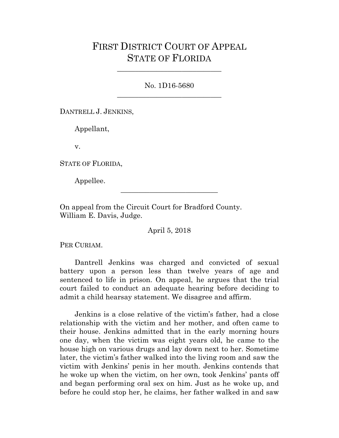## FIRST DISTRICT COURT OF APPEAL STATE OF FLORIDA

No. 1D16-5680 \_\_\_\_\_\_\_\_\_\_\_\_\_\_\_\_\_\_\_\_\_\_\_\_\_\_\_\_\_

\_\_\_\_\_\_\_\_\_\_\_\_\_\_\_\_\_\_\_\_\_\_\_\_\_\_\_\_\_

DANTRELL J. JENKINS,

Appellant,

v.

STATE OF FLORIDA,

Appellee.

On appeal from the Circuit Court for Bradford County. William E. Davis, Judge.

April 5, 2018

\_\_\_\_\_\_\_\_\_\_\_\_\_\_\_\_\_\_\_\_\_\_\_\_\_\_\_

PER CURIAM.

Dantrell Jenkins was charged and convicted of sexual battery upon a person less than twelve years of age and sentenced to life in prison. On appeal, he argues that the trial court failed to conduct an adequate hearing before deciding to admit a child hearsay statement. We disagree and affirm.

Jenkins is a close relative of the victim's father, had a close relationship with the victim and her mother, and often came to their house. Jenkins admitted that in the early morning hours one day, when the victim was eight years old, he came to the house high on various drugs and lay down next to her. Sometime later, the victim's father walked into the living room and saw the victim with Jenkins' penis in her mouth. Jenkins contends that he woke up when the victim, on her own, took Jenkins' pants off and began performing oral sex on him. Just as he woke up, and before he could stop her, he claims, her father walked in and saw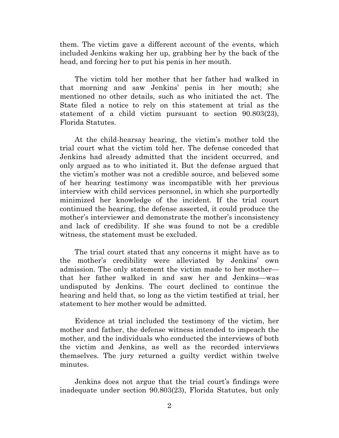them. The victim gave a different account of the events, which included Jenkins waking her up, grabbing her by the back of the head, and forcing her to put his penis in her mouth.

The victim told her mother that her father had walked in that morning and saw Jenkins' penis in her mouth; she mentioned no other details, such as who initiated the act. The State filed a notice to rely on this statement at trial as the statement of a child victim pursuant to section 90.803(23), Florida Statutes.

At the child-hearsay hearing, the victim's mother told the trial court what the victim told her. The defense conceded that Jenkins had already admitted that the incident occurred, and only argued as to who initiated it. But the defense argued that the victim's mother was not a credible source, and believed some of her hearing testimony was incompatible with her previous interview with child services personnel, in which she purportedly minimized her knowledge of the incident. If the trial court continued the hearing, the defense asserted, it could produce the mother's interviewer and demonstrate the mother's inconsistency and lack of credibility. If she was found to not be a credible witness, the statement must be excluded.

The trial court stated that any concerns it might have as to the mother's credibility were alleviated by Jenkins' own admission. The only statement the victim made to her mother that her father walked in and saw her and Jenkins—was undisputed by Jenkins. The court declined to continue the hearing and held that, so long as the victim testified at trial, her statement to her mother would be admitted.

Evidence at trial included the testimony of the victim, her mother and father, the defense witness intended to impeach the mother, and the individuals who conducted the interviews of both the victim and Jenkins, as well as the recorded interviews themselves. The jury returned a guilty verdict within twelve minutes.

Jenkins does not argue that the trial court's findings were inadequate under section 90.803(23), Florida Statutes, but only